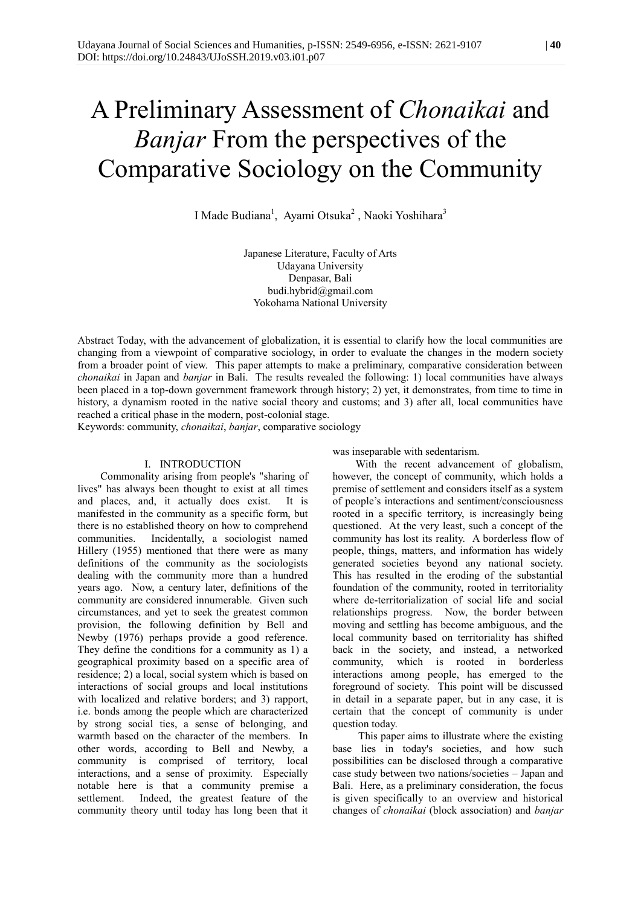# A Preliminary Assessment of *Chonaikai* and *Banjar* From the perspectives of the Comparative Sociology on the Community

I Made Budiana<sup>1</sup>, Ayami Otsuka<sup>2</sup>, Naoki Yoshihara<sup>3</sup>

Japanese Literature, Faculty of Arts Udayana University Denpasar, Bali budi.hybrid@gmail.com Yokohama National University

Abstract Today, with the advancement of globalization, it is essential to clarify how the local communities are changing from a viewpoint of comparative sociology, in order to evaluate the changes in the modern society from a broader point of view. This paper attempts to make a preliminary, comparative consideration between *chonaikai* in Japan and *banjar* in Bali. The results revealed the following: 1) local communities have always been placed in a top-down government framework through history; 2) yet, it demonstrates, from time to time in history, a dynamism rooted in the native social theory and customs; and 3) after all, local communities have reached a critical phase in the modern, post-colonial stage.

Keywords: community, *chonaikai*, *banjar*, comparative sociology

#### I. INTRODUCTION

Commonality arising from people's "sharing of lives" has always been thought to exist at all times and places, and, it actually does exist. It is manifested in the community as a specific form, but there is no established theory on how to comprehend communities. Incidentally, a sociologist named Hillery (1955) mentioned that there were as many definitions of the community as the sociologists dealing with the community more than a hundred years ago. Now, a century later, definitions of the community are considered innumerable. Given such circumstances, and yet to seek the greatest common provision, the following definition by Bell and Newby (1976) perhaps provide a good reference. They define the conditions for a community as 1) a geographical proximity based on a specific area of residence; 2) a local, social system which is based on interactions of social groups and local institutions with localized and relative borders; and 3) rapport, i.e. bonds among the people which are characterized by strong social ties, a sense of belonging, and warmth based on the character of the members. In other words, according to Bell and Newby, a community is comprised of territory, local interactions, and a sense of proximity. Especially notable here is that a community premise a settlement. Indeed, the greatest feature of the community theory until today has long been that it was inseparable with sedentarism.

With the recent advancement of globalism, however, the concept of community, which holds a premise of settlement and considers itself as a system of people"s interactions and sentiment/consciousness rooted in a specific territory, is increasingly being questioned. At the very least, such a concept of the community has lost its reality. A borderless flow of people, things, matters, and information has widely generated societies beyond any national society. This has resulted in the eroding of the substantial foundation of the community, rooted in territoriality where de-territorialization of social life and social relationships progress. Now, the border between moving and settling has become ambiguous, and the local community based on territoriality has shifted back in the society, and instead, a networked community, which is rooted in borderless interactions among people, has emerged to the foreground of society. This point will be discussed in detail in a separate paper, but in any case, it is certain that the concept of community is under question today.

This paper aims to illustrate where the existing base lies in today's societies, and how such possibilities can be disclosed through a comparative case study between two nations/societies – Japan and Bali. Here, as a preliminary consideration, the focus is given specifically to an overview and historical changes of *chonaikai* (block association) and *banjar*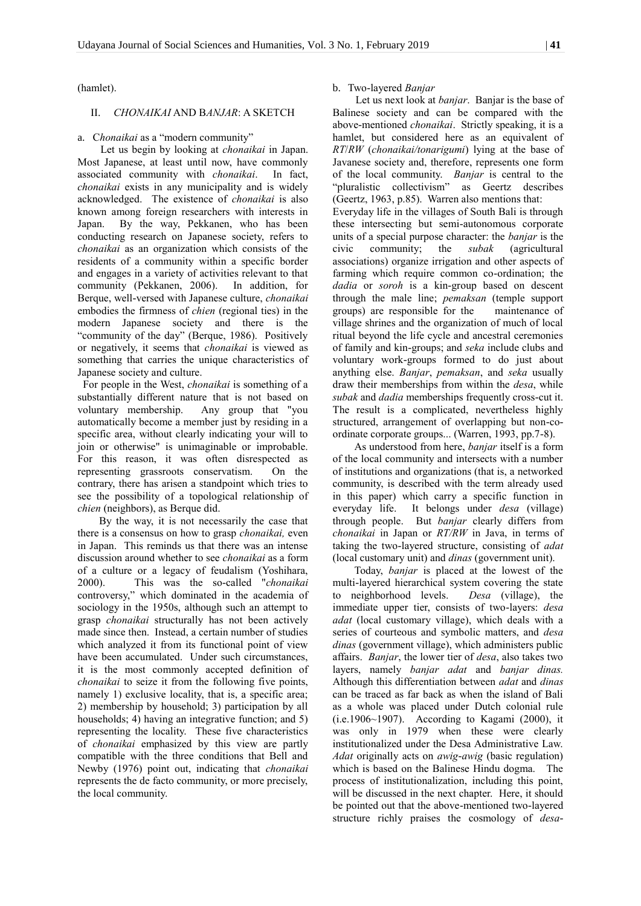(hamlet).

## II. *CHONAIKAI* AND B*ANJAR*: A SKETCH

a. C*honaikai* as a "modern community"

Let us begin by looking at *chonaikai* in Japan. Most Japanese, at least until now, have commonly associated community with *chonaikai*. In fact, *chonaikai* exists in any municipality and is widely acknowledged. The existence of *chonaikai* is also known among foreign researchers with interests in Japan. By the way, Pekkanen, who has been conducting research on Japanese society, refers to *chonaikai* as an organization which consists of the residents of a community within a specific border and engages in a variety of activities relevant to that community (Pekkanen, 2006). In addition, for Berque, well-versed with Japanese culture, *chonaikai* embodies the firmness of *chien* (regional ties) in the modern Japanese society and there is the "community of the day" (Berque, 1986). Positively or negatively, it seems that *chonaikai* is viewed as something that carries the unique characteristics of Japanese society and culture.

 For people in the West, *chonaikai* is something of a substantially different nature that is not based on voluntary membership. Any group that "you automatically become a member just by residing in a specific area, without clearly indicating your will to join or otherwise" is unimaginable or improbable. For this reason, it was often disrespected as representing grassroots conservatism. On the contrary, there has arisen a standpoint which tries to see the possibility of a topological relationship of *chien* (neighbors), as Berque did.

By the way, it is not necessarily the case that there is a consensus on how to grasp *chonaikai,* even in Japan. This reminds us that there was an intense discussion around whether to see *chonaikai* as a form of a culture or a legacy of feudalism (Yoshihara, 2000). This was the so-called "*chonaikai* controversy," which dominated in the academia of sociology in the 1950s, although such an attempt to grasp *chonaikai* structurally has not been actively made since then. Instead, a certain number of studies which analyzed it from its functional point of view have been accumulated. Under such circumstances, it is the most commonly accepted definition of *chonaikai* to seize it from the following five points, namely 1) exclusive locality, that is, a specific area; 2) membership by household; 3) participation by all households; 4) having an integrative function; and 5) representing the locality. These five characteristics of *chonaikai* emphasized by this view are partly compatible with the three conditions that Bell and Newby (1976) point out, indicating that *chonaikai* represents the de facto community, or more precisely, the local community.

## b. Two-layered *Banjar*

Let us next look at *banjar*. Banjar is the base of Balinese society and can be compared with the above-mentioned *chonaikai*. Strictly speaking, it is a hamlet, but considered here as an equivalent of *RT*/*RW* (*chonaikai/tonarigumi*) lying at the base of Javanese society and, therefore, represents one form of the local community. *Banjar* is central to the "pluralistic collectivism" as Geertz describes (Geertz, 1963, p.85). Warren also mentions that: Everyday life in the villages of South Bali is through these intersecting but semi-autonomous corporate units of a special purpose character: the *banjar* is the civic community; the *subak* (agricultural associations) organize irrigation and other aspects of farming which require common co-ordination; the *dadia* or *soroh* is a kin-group based on descent through the male line; *pemaksan* (temple support groups) are responsible for the maintenance of village shrines and the organization of much of local ritual beyond the life cycle and ancestral ceremonies of family and kin-groups; and *seka* include clubs and voluntary work-groups formed to do just about anything else. *Banjar*, *pemaksan*, and *seka* usually draw their memberships from within the *desa*, while *subak* and *dadia* memberships frequently cross-cut it. The result is a complicated, nevertheless highly structured, arrangement of overlapping but non-coordinate corporate groups... (Warren, 1993, pp.7-8).

As understood from here, *banjar* itself is a form of the local community and intersects with a number of institutions and organizations (that is, a networked community, is described with the term already used in this paper) which carry a specific function in everyday life. It belongs under *desa* (village) through people. But *banjar* clearly differs from *chonaikai* in Japan or *RT/RW* in Java, in terms of taking the two-layered structure, consisting of *adat* (local customary unit) and *dinas* (government unit).

Today, *banjar* is placed at the lowest of the multi-layered hierarchical system covering the state to neighborhood levels. *Desa* (village), the immediate upper tier, consists of two-layers: *desa adat* (local customary village), which deals with a series of courteous and symbolic matters, and *desa dinas* (government village), which administers public affairs. *Banjar*, the lower tier of *desa*, also takes two layers, namely *banjar adat* and *banjar dinas.* Although this differentiation between *adat* and *dinas* can be traced as far back as when the island of Bali as a whole was placed under Dutch colonial rule (i.e.1906~1907). According to Kagami (2000), it was only in 1979 when these were clearly institutionalized under the Desa Administrative Law. *Adat* originally acts on *awig-awig* (basic regulation) which is based on the Balinese Hindu dogma. The process of institutionalization, including this point, will be discussed in the next chapter. Here, it should be pointed out that the above-mentioned two-layered structure richly praises the cosmology of *desa-*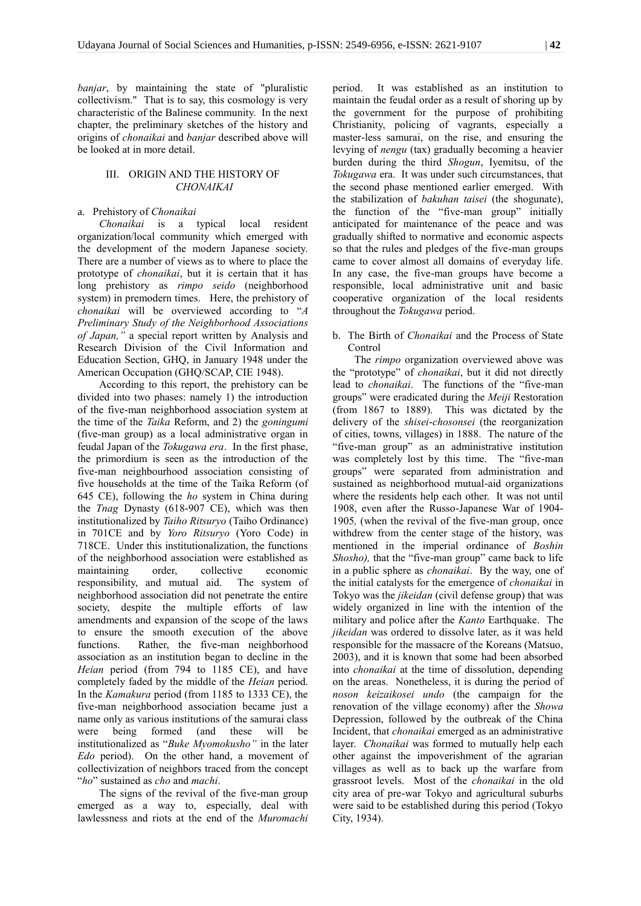*banjar*, by maintaining the state of "pluralistic collectivism." That is to say, this cosmology is very characteristic of the Balinese community. In the next chapter, the preliminary sketches of the history and origins of *chonaikai* and *banjar* described above will be looked at in more detail.

## III. ORIGIN AND THE HISTORY OF *CHONAIKAI*

## a. Prehistory of *Chonaikai*

*Chonaikai* is a typical local resident organization/local community which emerged with the development of the modern Japanese society. There are a number of views as to where to place the prototype of *chonaikai*, but it is certain that it has long prehistory as *rimpo seido* (neighborhood system) in premodern times. Here, the prehistory of *chonaikai* will be overviewed according to "*A Preliminary Study of the Neighborhood Associations of Japan,"* a special report written by Analysis and Research Division of the Civil Information and Education Section, GHQ, in January 1948 under the American Occupation (GHQ/SCAP, CIE 1948).

According to this report, the prehistory can be divided into two phases: namely 1) the introduction of the five-man neighborhood association system at the time of the *Taika* Reform, and 2) the *goningumi*  (five-man group) as a local administrative organ in feudal Japan of the *Tokugawa era*.In the first phase, the primordium is seen as the introduction of the five-man neighbourhood association consisting of five households at the time of the Taika Reform (of 645 CE), following the *ho* system in China during the *Tnag* Dynasty (618-907 CE), which was then institutionalized by *Taiho Ritsuryo* (Taiho Ordinance) in 701CE and by *Yoro Ritsuryo* (Yoro Code) in 718CE. Under this institutionalization, the functions of the neighborhood association were established as maintaining order, collective economic responsibility, and mutual aid. The system of neighborhood association did not penetrate the entire society, despite the multiple efforts of law amendments and expansion of the scope of the laws to ensure the smooth execution of the above functions. Rather, the five-man neighborhood association as an institution began to decline in the *Heian* period (from 794 to 1185 CE), and have completely faded by the middle of the *Heian* period. In the *Kamakura* period (from 1185 to 1333 CE), the five-man neighborhood association became just a name only as various institutions of the samurai class were being formed (and these will be institutionalized as "*Buke Myomokusho"* in the later *Edo* period). On the other hand, a movement of collectivization of neighbors traced from the concept "*ho*" sustained as *cho* and *machi*.

The signs of the revival of the five-man group emerged as a way to, especially, deal with lawlessness and riots at the end of the *Muromachi* period. It was established as an institution to maintain the feudal order as a result of shoring up by the government for the purpose of prohibiting Christianity, policing of vagrants, especially a master-less samurai, on the rise, and ensuring the levying of *nengu* (tax) gradually becoming a heavier burden during the third *Shogun*, Iyemitsu, of the *Tokugawa* era. It was under such circumstances, that the second phase mentioned earlier emerged. With the stabilization of *bakuhan taisei* (the shogunate), the function of the "five-man group" initially anticipated for maintenance of the peace and was gradually shifted to normative and economic aspects so that the rules and pledges of the five-man groups came to cover almost all domains of everyday life. In any case, the five-man groups have become a responsible, local administrative unit and basic cooperative organization of the local residents throughout the *Tokugawa* period.

b. The Birth of *Chonaikai* and the Process of State Control

The *rimpo* organization overviewed above was the "prototype" of *chonaikai*, but it did not directly lead to *chonaikai*. The functions of the "five-man groups" were eradicated during the *Meiji* Restoration (from 1867 to 1889). This was dictated by the delivery of the *shisei-chosonsei* (the reorganization of cities, towns, villages) in 1888. The nature of the "five-man group" as an administrative institution was completely lost by this time. The "five-man groups" were separated from administration and sustained as neighborhood mutual-aid organizations where the residents help each other. It was not until 1908, even after the Russo-Japanese War of 1904- 1905*,* (when the revival of the five-man group, once withdrew from the center stage of the history, was mentioned in the imperial ordinance of *Boshin Shosho),* that the "five-man group" came back to life in a public sphere as *chonaikai*. By the way, one of the initial catalysts for the emergence of *chonaikai* in Tokyo was the *jikeidan* (civil defense group) that was widely organized in line with the intention of the military and police after the *Kanto* Earthquake. The *jikeidan* was ordered to dissolve later, as it was held responsible for the massacre of the Koreans (Matsuo, 2003), and it is known that some had been absorbed into *chonaikai* at the time of dissolution, depending on the areas. Nonetheless, it is during the period of *noson keizaikosei undo* (the campaign for the renovation of the village economy) after the *Showa* Depression, followed by the outbreak of the China Incident, that *chonaikai* emerged as an administrative layer. *Chonaikai* was formed to mutually help each other against the impoverishment of the agrarian villages as well as to back up the warfare from grassroot levels. Most of the *chonaikai* in the old city area of pre-war Tokyo and agricultural suburbs were said to be established during this period (Tokyo City, 1934).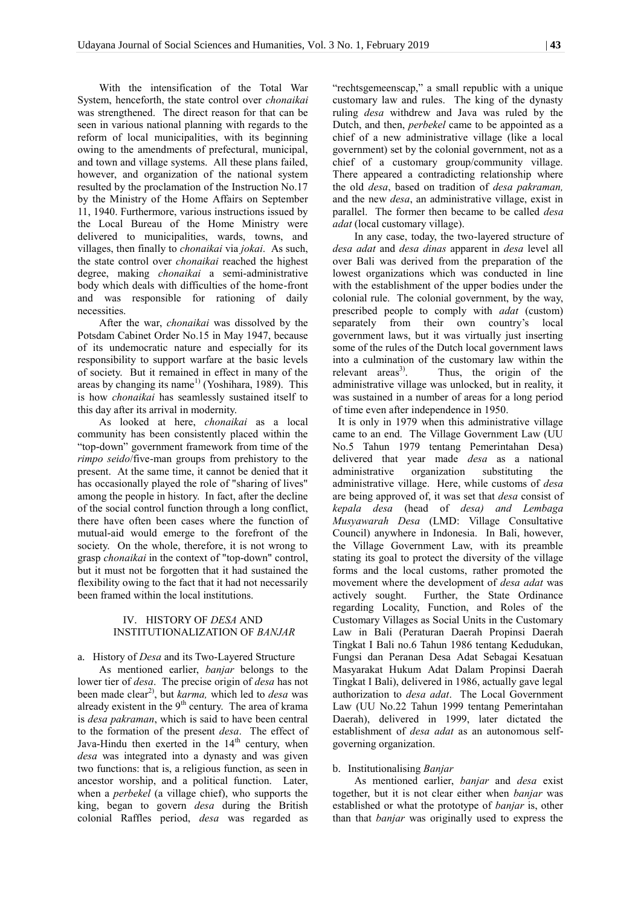With the intensification of the Total War System, henceforth, the state control over *chonaikai* was strengthened. The direct reason for that can be seen in various national planning with regards to the reform of local municipalities, with its beginning owing to the amendments of prefectural, municipal, and town and village systems. All these plans failed, however, and organization of the national system resulted by the proclamation of the Instruction No.17 by the Ministry of the Home Affairs on September 11, 1940. Furthermore, various instructions issued by the Local Bureau of the Home Ministry were delivered to municipalities, wards, towns, and villages, then finally to *chonaikai* via *jokai*. As such, the state control over *chonaikai* reached the highest degree, making *chonaikai* a semi-administrative body which deals with difficulties of the home-front and was responsible for rationing of daily necessities.

After the war, *chonaikai* was dissolved by the Potsdam Cabinet Order No.15 in May 1947, because of its undemocratic nature and especially for its responsibility to support warfare at the basic levels of society. But it remained in effect in many of the areas by changing its name<sup>1)</sup> (Yoshihara, 1989). This is how *chonaikai* has seamlessly sustained itself to this day after its arrival in modernity.

As looked at here, *chonaikai* as a local community has been consistently placed within the "top-down" government framework from time of the *rimpo seido*/five-man groups from prehistory to the present. At the same time, it cannot be denied that it has occasionally played the role of "sharing of lives" among the people in history. In fact, after the decline of the social control function through a long conflict, there have often been cases where the function of mutual-aid would emerge to the forefront of the society. On the whole, therefore, it is not wrong to grasp *chonaikai* in the context of "top-down" control, but it must not be forgotten that it had sustained the flexibility owing to the fact that it had not necessarily been framed within the local institutions.

# IV. HISTORY OF *DESA* AND INSTITUTIONALIZATION OF *BANJAR*

#### a. History of *Desa* and its Two-Layered Structure

As mentioned earlier, *banjar* belongs to the lower tier of *desa*. The precise origin of *desa* has not been made clear2), but *karma,* which led to *desa* was already existent in the  $9<sup>th</sup>$  century. The area of krama is *desa pakraman*, which is said to have been central to the formation of the present *desa*. The effect of Java-Hindu then exerted in the  $14<sup>th</sup>$  century, when *desa* was integrated into a dynasty and was given two functions: that is, a religious function, as seen in ancestor worship, and a political function. Later, when a *perbekel* (a village chief), who supports the king, began to govern *desa* during the British colonial Raffles period, *desa* was regarded as

"rechtsgemeenscap," a small republic with a unique customary law and rules. The king of the dynasty ruling *desa* withdrew and Java was ruled by the Dutch, and then, *perbekel* came to be appointed as a chief of a new administrative village (like a local government) set by the colonial government, not as a chief of a customary group/community village. There appeared a contradicting relationship where the old *desa*, based on tradition of *desa pakraman,* and the new *desa*, an administrative village, exist in parallel. The former then became to be called *desa adat* (local customary village).

In any case, today, the two-layered structure of *desa adat* and *desa dinas* apparent in *desa* level all over Bali was derived from the preparation of the lowest organizations which was conducted in line with the establishment of the upper bodies under the colonial rule. The colonial government, by the way, prescribed people to comply with *adat* (custom) separately from their own country's local government laws, but it was virtually just inserting some of the rules of the Dutch local government laws into a culmination of the customary law within the relevant areas<sup>3)</sup>. Thus, the origin of the administrative village was unlocked, but in reality, it was sustained in a number of areas for a long period of time even after independence in 1950.

 It is only in 1979 when this administrative village came to an end. The Village Government Law (UU No.5 Tahun 1979 tentang Pemerintahan Desa) delivered that year made *desa* as a national administrative organization substituting the administrative village. Here, while customs of *desa* are being approved of, it was set that *desa* consist of *kepala desa* (head of *desa) and Lembaga Musyawarah Desa* (LMD: Village Consultative Council) anywhere in Indonesia. In Bali, however, the Village Government Law, with its preamble stating its goal to protect the diversity of the village forms and the local customs, rather promoted the movement where the development of *desa adat* was actively sought. Further, the State Ordinance regarding Locality, Function, and Roles of the Customary Villages as Social Units in the Customary Law in Bali (Peraturan Daerah Propinsi Daerah Tingkat I Bali no.6 Tahun 1986 tentang Kedudukan, Fungsi dan Peranan Desa Adat Sebagai Kesatuan Masyarakat Hukum Adat Dalam Propinsi Daerah Tingkat I Bali), delivered in 1986, actually gave legal authorization to *desa adat*. The Local Government Law (UU No.22 Tahun 1999 tentang Pemerintahan Daerah), delivered in 1999, later dictated the establishment of *desa adat* as an autonomous selfgoverning organization.

#### b. Institutionalising *Banjar*

As mentioned earlier, *banjar* and *desa* exist together, but it is not clear either when *banjar* was established or what the prototype of *banjar* is, other than that *banjar* was originally used to express the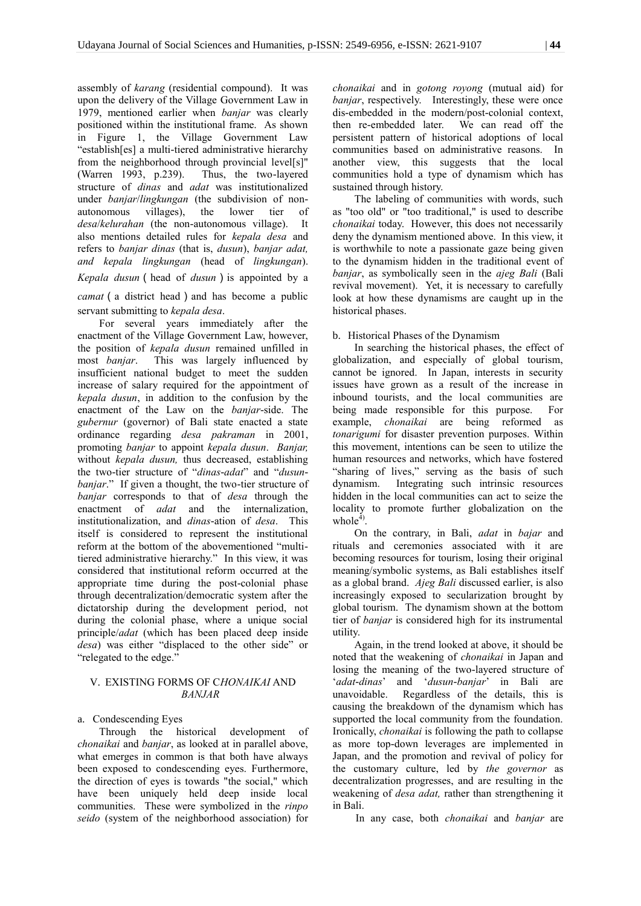assembly of *karang* (residential compound). It was upon the delivery of the Village Government Law in 1979, mentioned earlier when *banjar* was clearly positioned within the institutional frame. As shown in Figure 1, the Village Government Law "establish[es] a multi-tiered administrative hierarchy from the neighborhood through provincial level[s]" (Warren 1993, p.239). Thus, the two-layered structure of *dinas* and *adat* was institutionalized under *banjar*/*lingkungan* (the subdivision of nonautonomous villages), the lower tier of *desa*/*kelurahan* (the non-autonomous village). It also mentions detailed rules for *kepala desa* and refers to *banjar dinas* (that is, *dusun*), *banjar adat, and kepala lingkungan* (head of *lingkungan*). *Kepala dusun*(head of *dusun*)is appointed by a

*camat* (a district head) and has become a public servant submitting to *kepala desa*.

For several years immediately after the enactment of the Village Government Law, however, the position of *kepala dusun* remained unfilled in most *banjar*. This was largely influenced by insufficient national budget to meet the sudden increase of salary required for the appointment of *kepala dusun*, in addition to the confusion by the enactment of the Law on the *banjar*-side. The *gubernur* (governor) of Bali state enacted a state ordinance regarding *desa pakraman* in 2001, promoting *banjar* to appoint *kepala dusun*. *Banjar,* without *kepala dusun,* thus decreased, establishing the two-tier structure of "*dinas-adat*" and "*dusunbanjar*." If given a thought, the two-tier structure of *banjar* corresponds to that of *desa* through the enactment of *adat* and the internalization, institutionalization, and *dinas*-ation of *desa*. This itself is considered to represent the institutional reform at the bottom of the abovementioned "multitiered administrative hierarchy." In this view, it was considered that institutional reform occurred at the appropriate time during the post-colonial phase through decentralization/democratic system after the dictatorship during the development period, not during the colonial phase, where a unique social principle/*adat* (which has been placed deep inside *desa*) was either "displaced to the other side" or "relegated to the edge."

## V. EXISTING FORMS OF C*HONAIKAI* AND *BANJAR*

# a. Condescending Eyes

Through the historical development of *chonaikai* and *banjar*, as looked at in parallel above, what emerges in common is that both have always been exposed to condescending eyes. Furthermore, the direction of eyes is towards "the social," which have been uniquely held deep inside local communities. These were symbolized in the *rinpo seido* (system of the neighborhood association) for *chonaikai* and in *gotong royong* (mutual aid) for *banjar*, respectively. Interestingly, these were once dis-embedded in the modern/post-colonial context, then re-embedded later. We can read off the persistent pattern of historical adoptions of local communities based on administrative reasons. In another view, this suggests that the local communities hold a type of dynamism which has sustained through history.

The labeling of communities with words, such as "too old" or "too traditional," is used to describe *chonaikai* today. However, this does not necessarily deny the dynamism mentioned above. In this view, it is worthwhile to note a passionate gaze being given to the dynamism hidden in the traditional event of *banjar*, as symbolically seen in the *ajeg Bali* (Bali revival movement). Yet, it is necessary to carefully look at how these dynamisms are caught up in the historical phases.

## b. Historical Phases of the Dynamism

In searching the historical phases, the effect of globalization, and especially of global tourism, cannot be ignored. In Japan, interests in security issues have grown as a result of the increase in inbound tourists, and the local communities are being made responsible for this purpose. For example, *chonaikai* are being reformed as *tonarigumi* for disaster prevention purposes. Within this movement, intentions can be seen to utilize the human resources and networks, which have fostered "sharing of lives," serving as the basis of such dynamism. Integrating such intrinsic resources hidden in the local communities can act to seize the locality to promote further globalization on the whole $4$ .

On the contrary, in Bali, *adat* in *bajar* and rituals and ceremonies associated with it are becoming resources for tourism, losing their original meaning/symbolic systems, as Bali establishes itself as a global brand. *Ajeg Bali* discussed earlier, is also increasingly exposed to secularization brought by global tourism. The dynamism shown at the bottom tier of *banjar* is considered high for its instrumental utility.

Again, in the trend looked at above, it should be noted that the weakening of *chonaikai* in Japan and losing the meaning of the two-layered structure of '*adat-dinas*' and '*dusun-banjar*' in Bali are unavoidable. Regardless of the details, this is causing the breakdown of the dynamism which has supported the local community from the foundation. Ironically, *chonaikai* is following the path to collapse as more top-down leverages are implemented in Japan, and the promotion and revival of policy for the customary culture, led by *the governor* as decentralization progresses, and are resulting in the weakening of *desa adat,* rather than strengthening it in Bali.

In any case, both *chonaikai* and *banjar* are